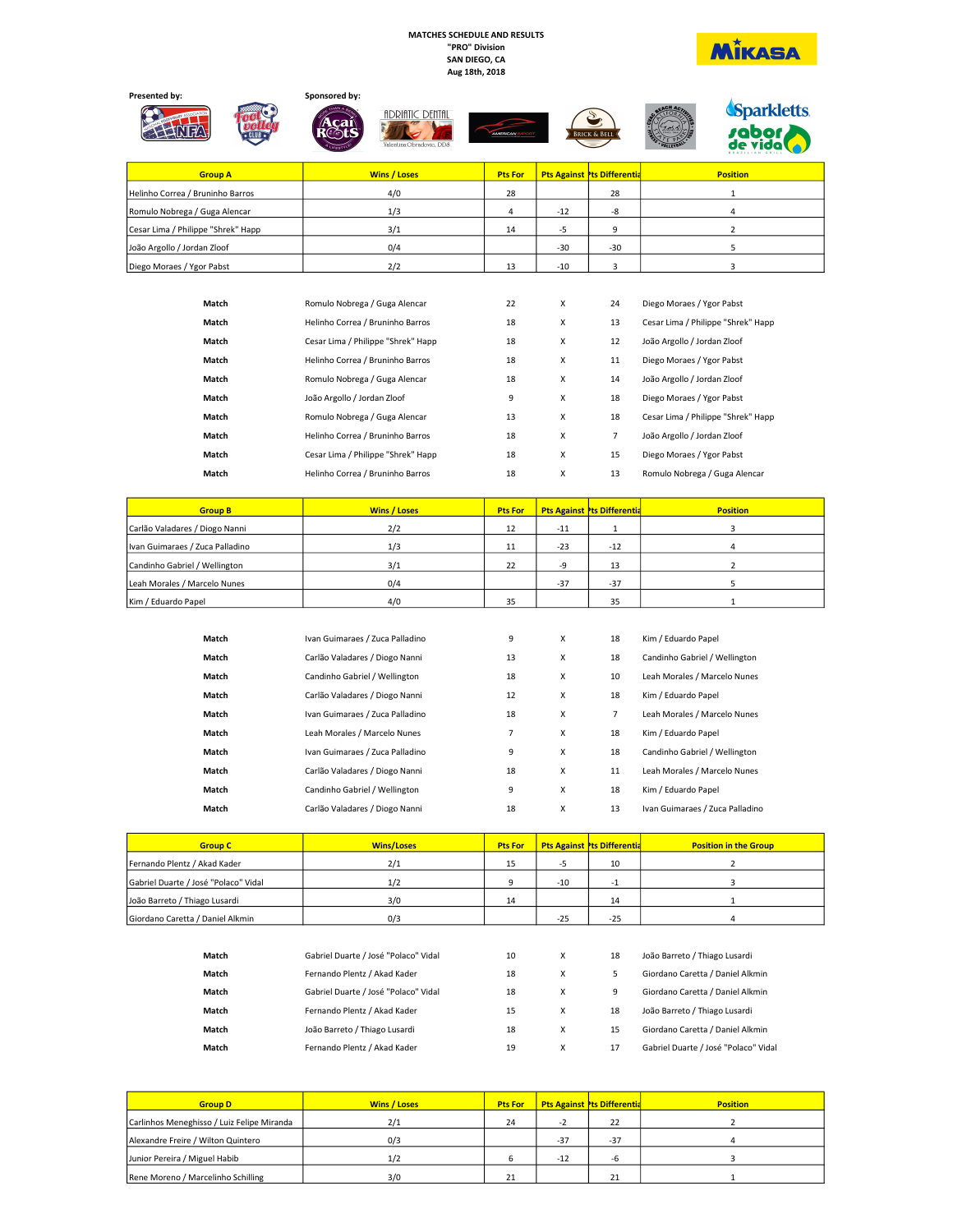## MATCHES SCHEDULE AND RESULTS "PRO" Division SAN DIEGO, CA Aug 18th, 2018





| <b>Group A</b>                     | <b>Wins / Loses</b> | <b>Pts For</b> |       | <b>Pts Against Pts Differentia</b> | <b>Position</b> |
|------------------------------------|---------------------|----------------|-------|------------------------------------|-----------------|
| Helinho Correa / Bruninho Barros   | 4/0                 | 28             |       | 28                                 |                 |
| Romulo Nobrega / Guga Alencar      | 1/3                 |                | $-12$ | -8                                 |                 |
| Cesar Lima / Philippe "Shrek" Happ | 3/1                 | 14             | -5    |                                    |                 |
| João Argollo / Jordan Zloof        | 0/4                 |                | $-30$ | $-30$                              |                 |
| Diego Moraes / Ygor Pabst          | 2/2                 | 13             | $-10$ |                                    |                 |

| Match | Romulo Nobrega / Guga Alencar      | 22 | X | 24 | Diego Moraes / Ygor Pabst          |
|-------|------------------------------------|----|---|----|------------------------------------|
| Match | Helinho Correa / Bruninho Barros   | 18 | X | 13 | Cesar Lima / Philippe "Shrek" Happ |
| Match | Cesar Lima / Philippe "Shrek" Happ | 18 | X | 12 | João Argollo / Jordan Zloof        |
| Match | Helinho Correa / Bruninho Barros   | 18 | X | 11 | Diego Moraes / Ygor Pabst          |
| Match | Romulo Nobrega / Guga Alencar      | 18 | X | 14 | João Argollo / Jordan Zloof        |
| Match | João Argollo / Jordan Zloof        | 9  | x | 18 | Diego Moraes / Ygor Pabst          |
| Match | Romulo Nobrega / Guga Alencar      | 13 | X | 18 | Cesar Lima / Philippe "Shrek" Happ |
| Match | Helinho Correa / Bruninho Barros   | 18 | x | 7  | João Argollo / Jordan Zloof        |
| Match | Cesar Lima / Philippe "Shrek" Happ | 18 | X | 15 | Diego Moraes / Ygor Pabst          |
| Match | Helinho Correa / Bruninho Barros   | 18 | x | 13 | Romulo Nobrega / Guga Alencar      |

| <b>Group B</b>                  | <b>Wins / Loses</b> | <b>Pts For</b> |       | <b>Pts Against Pts Differentia</b> | <b>Position</b> |
|---------------------------------|---------------------|----------------|-------|------------------------------------|-----------------|
| Carlão Valadares / Diogo Nanni  | 2/2                 | 12             | $-11$ |                                    |                 |
| Ivan Guimaraes / Zuca Palladino | 1/3                 | 11             | $-23$ | $-12$                              |                 |
| Candinho Gabriel / Wellington   | 3/1                 | 22             | $-9$  | 13                                 |                 |
| Leah Morales / Marcelo Nunes    | 0/4                 |                | $-37$ | $-37$                              |                 |
| Kim / Eduardo Papel             | 4/0                 | 35             |       | 35                                 |                 |

| Match | Ivan Guimaraes / Zuca Palladino | 9              | X | 18             | Kim / Eduardo Papel             |
|-------|---------------------------------|----------------|---|----------------|---------------------------------|
| Match | Carlão Valadares / Diogo Nanni  | 13             | X | 18             | Candinho Gabriel / Wellington   |
| Match | Candinho Gabriel / Wellington   | 18             | X | 10             | Leah Morales / Marcelo Nunes    |
| Match | Carlão Valadares / Diogo Nanni  | 12             | X | 18             | Kim / Eduardo Papel             |
| Match | Ivan Guimaraes / Zuca Palladino | 18             | X | $\overline{7}$ | Leah Morales / Marcelo Nunes    |
| Match | Leah Morales / Marcelo Nunes    | $\overline{7}$ | X | 18             | Kim / Eduardo Papel             |
| Match | Ivan Guimaraes / Zuca Palladino | 9              | X | 18             | Candinho Gabriel / Wellington   |
| Match | Carlão Valadares / Diogo Nanni  | 18             | X | 11             | Leah Morales / Marcelo Nunes    |
| Match | Candinho Gabriel / Wellington   | 9              | X | 18             | Kim / Eduardo Papel             |
| Match | Carlão Valadares / Diogo Nanni  | 18             | X | 13             | Ivan Guimaraes / Zuca Palladino |

| <b>Group C</b>                       | <b>Wins/Loses</b> | <b>Pts For</b> |       | <b>Pts Against Pts Differentia</b> | <b>Position in the Group</b> |
|--------------------------------------|-------------------|----------------|-------|------------------------------------|------------------------------|
| Fernando Plentz / Akad Kader         | 2/1               | 15             |       | 10                                 |                              |
| Gabriel Duarte / José "Polaco" Vidal | 1/2               |                | $-10$ | ۰                                  |                              |
| João Barreto / Thiago Lusardi        | 3/0               | 14             |       | 14                                 |                              |
| Giordano Caretta / Daniel Alkmin     | 0/3               |                | $-25$ | $-25$                              |                              |

| Match | Gabriel Duarte / José "Polaco" Vidal | 10 | x | 18 | João Barreto / Thiago Lusardi        |
|-------|--------------------------------------|----|---|----|--------------------------------------|
| Match | Fernando Plentz / Akad Kader         | 18 | x | 5. | Giordano Caretta / Daniel Alkmin     |
| Match | Gabriel Duarte / José "Polaco" Vidal | 18 | x | 9  | Giordano Caretta / Daniel Alkmin     |
| Match | Fernando Plentz / Akad Kader         | 15 | x | 18 | João Barreto / Thiago Lusardi        |
| Match | João Barreto / Thiago Lusardi        | 18 | x | 15 | Giordano Caretta / Daniel Alkmin     |
| Match | Fernando Plentz / Akad Kader         | 19 | x | 17 | Gabriel Duarte / José "Polaco" Vidal |
|       |                                      |    |   |    |                                      |

| <b>Group D</b>                             | <b>Wins / Loses</b> | <b>Pts For</b> |       | <b>Pts Against Pts Differentia</b> | <b>Position</b> |
|--------------------------------------------|---------------------|----------------|-------|------------------------------------|-----------------|
| Carlinhos Meneghisso / Luiz Felipe Miranda | 2/1                 | 24             |       | 22                                 |                 |
| Alexandre Freire / Wilton Quintero         | 0/3                 |                | $-37$ | $-37$                              |                 |
| Junior Pereira / Miguel Habib              | 1/2                 |                | $-12$ | -h                                 |                 |
| Rene Moreno / Marcelinho Schilling         | 3/0                 | 21             |       | 21                                 |                 |